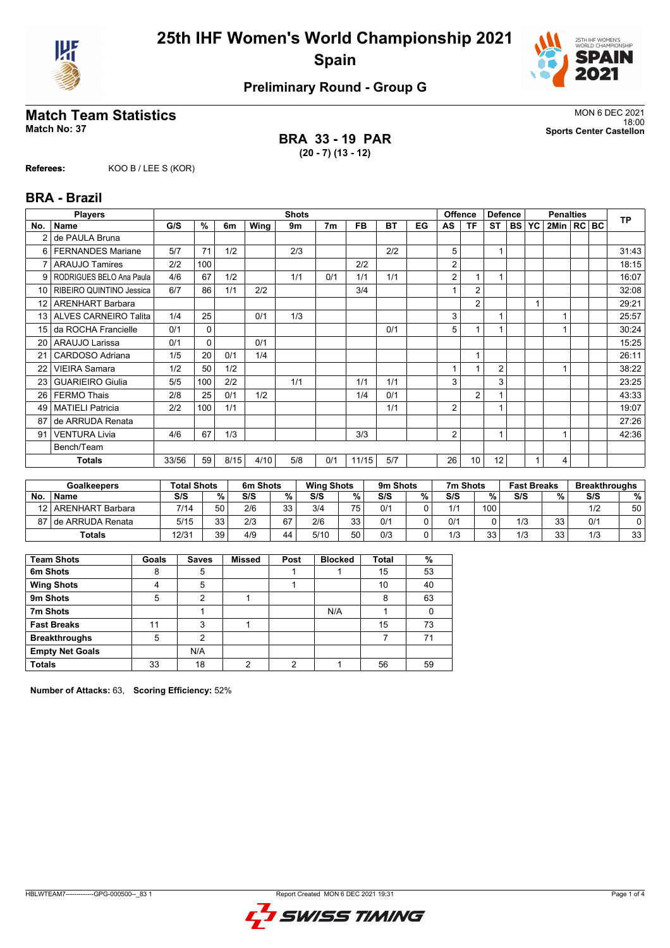



## **Preliminary Round - Group G**

## **Match Team Statistics** MON 6 DEC 2021

**BRA 33 - 19 PAR (20 - 7) (13 - 12)**

18:00 **Match No: 37 Sports Center Castellon**

**Referees:** KOO B / LEE S (KOR)

#### **BRA - Brazil**

|                 | <b>Players</b>           |       |              |      |      | <b>Shots</b> |                |           |     |    | <b>Offence</b><br><b>Defence</b> |                |                | <b>Penalties</b> |           |                |  | <b>TP</b> |       |
|-----------------|--------------------------|-------|--------------|------|------|--------------|----------------|-----------|-----|----|----------------------------------|----------------|----------------|------------------|-----------|----------------|--|-----------|-------|
| No.             | <b>Name</b>              | G/S   | %            | 6m   | Wing | 9m           | 7 <sub>m</sub> | <b>FB</b> | ВT  | EG | AS                               | ΤF             | ST             | <b>BS</b>        | <b>YC</b> | 2Min   RC   BC |  |           |       |
|                 | de PAULA Bruna           |       |              |      |      |              |                |           |     |    |                                  |                |                |                  |           |                |  |           |       |
| 6               | <b>FERNANDES Mariane</b> | 5/7   | 71           | 1/2  |      | 2/3          |                |           | 2/2 |    | 5                                |                | 1              |                  |           |                |  |           | 31:43 |
| $\overline{7}$  | <b>ARAUJO Tamires</b>    | 2/2   | 100          |      |      |              |                | 2/2       |     |    | 2                                |                |                |                  |           |                |  |           | 18:15 |
| 9               | RODRIGUES BELO Ana Paula | 4/6   | 67           | 1/2  |      | 1/1          | 0/1            | 1/1       | 1/1 |    | 2                                |                | 1              |                  |           |                |  |           | 16:07 |
| 10 <sup>1</sup> | RIBEIRO QUINTINO Jessica | 6/7   | 86           | 1/1  | 2/2  |              |                | 3/4       |     |    |                                  | $\overline{2}$ |                |                  |           |                |  |           | 32:08 |
| 12 <sup>2</sup> | <b>ARENHART Barbara</b>  |       |              |      |      |              |                |           |     |    |                                  | $\overline{2}$ |                |                  |           |                |  |           | 29:21 |
|                 | 13 ALVES CARNEIRO Talita | 1/4   | 25           |      | 0/1  | 1/3          |                |           |     |    | 3                                |                | 1              |                  |           |                |  |           | 25:57 |
| 15 <sup>1</sup> | da ROCHA Francielle      | 0/1   | $\Omega$     |      |      |              |                |           | 0/1 |    | 5                                |                | 1              |                  |           |                |  |           | 30:24 |
| 20              | ARAUJO Larissa           | 0/1   | $\mathbf{0}$ |      | 0/1  |              |                |           |     |    |                                  |                |                |                  |           |                |  |           | 15:25 |
| 21              | CARDOSO Adriana          | 1/5   | 20           | 0/1  | 1/4  |              |                |           |     |    |                                  |                |                |                  |           |                |  |           | 26:11 |
| 22              | <b>VIEIRA Samara</b>     | 1/2   | 50           | 1/2  |      |              |                |           |     |    |                                  |                | $\overline{2}$ |                  |           |                |  |           | 38:22 |
| 23              | <b>GUARIEIRO Giulia</b>  | 5/5   | 100          | 2/2  |      | 1/1          |                | 1/1       | 1/1 |    | 3                                |                | 3              |                  |           |                |  |           | 23:25 |
| 26              | <b>FERMO Thais</b>       | 2/8   | 25           | 0/1  | 1/2  |              |                | 1/4       | 0/1 |    |                                  | $\overline{2}$ |                |                  |           |                |  |           | 43:33 |
| 49              | <b>MATIELI Patricia</b>  | 2/2   | 100          | 1/1  |      |              |                |           | 1/1 |    | 2                                |                | 1              |                  |           |                |  |           | 19:07 |
| 87              | de ARRUDA Renata         |       |              |      |      |              |                |           |     |    |                                  |                |                |                  |           |                |  |           | 27:26 |
| 91              | <b>VENTURA Livia</b>     | 4/6   | 67           | 1/3  |      |              |                | 3/3       |     |    | 2                                |                | 1              |                  |           |                |  |           | 42:36 |
|                 | Bench/Team               |       |              |      |      |              |                |           |     |    |                                  |                |                |                  |           |                |  |           |       |
|                 | <b>Totals</b>            | 33/56 | 59           | 8/15 | 4/10 | 5/8          | 0/1            | 11/15     | 5/7 |    | 26                               | 10             | 12             |                  |           | 4              |  |           |       |

|    | <b>Goalkeepers</b>    | <b>Total Shots</b> |          | 6m Shots |           | <b>Wing Shots</b> |                 | 9m Shots |   | 7m Shots |     | <b>Fast Breaks</b> |          | <b>Breakthroughs</b> |    |
|----|-----------------------|--------------------|----------|----------|-----------|-------------------|-----------------|----------|---|----------|-----|--------------------|----------|----------------------|----|
| No | <b>Name</b>           | S/S                | $\%$ .   | S/S      | %         | S/S               | %               | S/S      | % | S/S      | %   | S/S                | %        | S/S                  | %  |
| 12 | ARENHART Barbara      | 7/14               | 50       | 2/6      | วว<br>ن ت | 3/4               | 75 <sub>1</sub> | 0/1      |   | 1/1      | 100 |                    |          | 1/2                  | 50 |
|    | 87 I de ARRUDA Renata | 5/15               | วว<br>ບບ | 2/3      | 67        | 2/6               | วว              | 0/1      |   | 0/1      |     | 1/3                | วว<br>ບບ | 0/1                  |    |
|    | <b>Totals</b>         | 12/3 <sup>2</sup>  | 39       | 4/9      | 44        | 5/10              | 50<br>υu        | 0/3      |   | 1/3      | 33  | 1/3                | 33       | 1/3                  | 33 |

| <b>Team Shots</b>      | Goals | <b>Saves</b> | <b>Missed</b> | Post | <b>Blocked</b> | Total | %  |
|------------------------|-------|--------------|---------------|------|----------------|-------|----|
| 6m Shots               | 8     | 5            |               |      |                | 15    | 53 |
| <b>Wing Shots</b>      | 4     | 5            |               |      |                | 10    | 40 |
| 9m Shots               | 5     | າ            |               |      |                | 8     | 63 |
| 7m Shots               |       |              |               |      | N/A            |       |    |
| <b>Fast Breaks</b>     | 11    | 3            |               |      |                | 15    | 73 |
| <b>Breakthroughs</b>   | 5     | າ            |               |      |                |       | 71 |
| <b>Empty Net Goals</b> |       | N/A          |               |      |                |       |    |
| <b>Totals</b>          | 33    | 18           | ◠             | ◠    |                | 56    | 59 |

**Number of Attacks:** 63, **Scoring Efficiency:** 52%

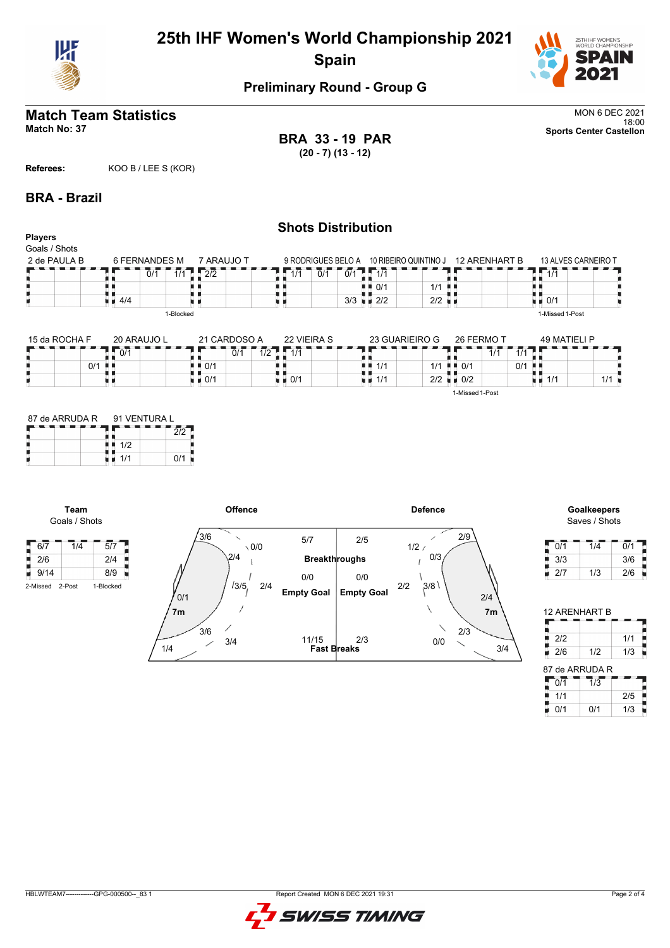

# **25th IHF Women's World Championship 2021 Spain**



### **Preliminary Round - Group G**

## **Match Team Statistics** MON 6 DEC 2021<br>18:00

18:00 **Match No: 37 Sports Center Castellon BRA 33 - 19 PAR (20 - 7) (13 - 12)**

**Referees:** KOO B / LEE S (KOR)

#### **BRA - Brazil**

#### **Shots Distribution Players** Goals / Shots 2 de PAULA B 6 FERNANDES M 7 ARAUJO T 13 ALVES CARNEIRO T 9 RODRIGUES BELO A 10 RIBEIRO QUINTINO J  $\frac{2}{1/1}$   $\sqrt{2/2}$  $7.77$ п  $0/1$  $1/1$  0/1 0/1  $1/1$ 89  $\frac{1}{1}$  0/1 机电 t i  $\blacksquare$  0/1 | 1/1  $\frac{1}{4}$  4/4 u r 3/3  $\blacksquare$  2/2  $\blacksquare$  2/2 n e 1-Blocked 1-Missed 1-Post 15 da ROCHA F 20 ARAUJO L 21 CARDOSO A 22 VIEIRA S  $26.6$  Fermi  $49.14 \pm 0.02$ 23 GUARIEIRO G

| 15 da ROCHA F | 20 ARAUJO L | 21 CARDOSO A                       | <b>22 VIEIRA S</b> | 23 GUARIEIRO G | 26 FERMO          |                      | 49 MATIFI I P |     |
|---------------|-------------|------------------------------------|--------------------|----------------|-------------------|----------------------|---------------|-----|
|               | 0/1         | $\overline{0}/\overline{1}$<br>1/2 | 1/1                |                |                   | 111<br>1/1<br>17 I   |               |     |
| 0/1           | - 8 - 8     | + ■ 0/1                            |                    | $4 = 1/1$      | 1/1<br>0/1<br>. . | $0/1$ $\blacksquare$ |               |     |
|               |             | $\blacksquare$ 0/1                 | $\blacksquare$ 0/1 | 1/1            | 2/2<br>0/2        |                      | 1/1           | 111 |
|               |             |                                    |                    |                | 1-Missed 1-Post   |                      |               |     |

| 87 de ARRUDA R |     | 91 VENTURA L |  |  |  |  |  |  |
|----------------|-----|--------------|--|--|--|--|--|--|
|                |     |              |  |  |  |  |  |  |
|                | 1/2 |              |  |  |  |  |  |  |
|                | 1/1 | 0/1          |  |  |  |  |  |  |

**Team** Goals / Shots

Н



# Saves / Shots

| 0/1 | 1/4 | 0/1 |
|-----|-----|-----|
| 3/3 |     | 3/6 |
| 2/7 | 1/3 | 2/6 |

|                | <b>12 ARENHART B</b> |     |
|----------------|----------------------|-----|
|                |                      |     |
| 212            |                      | 1/1 |
| 2/6            | 1/2                  | 1/3 |
| 87 de ARRUDA R |                      |     |
| 0/1            | $\overline{1}/3$     |     |
| 1/1            |                      | 2/5 |

 $0/1$  0/1 1/3

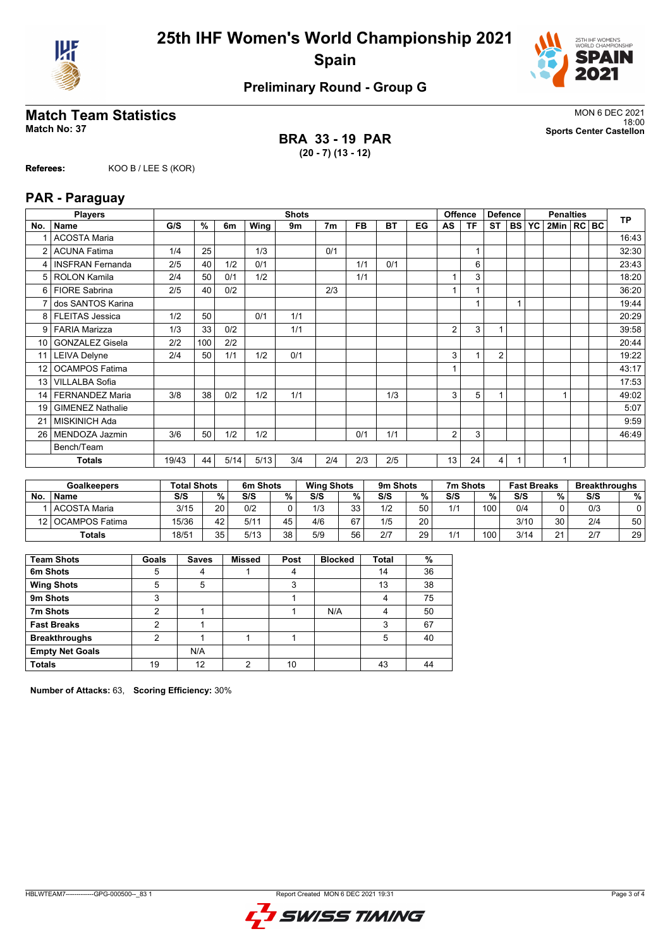



## **Preliminary Round - Group G**

### **Match Team Statistics** MON 6 DEC 2021

**BRA 33 - 19 PAR (20 - 7) (13 - 12)**

18:00 **Match No: 37 Sports Center Castellon**

# **Referees:** KOO B / LEE S (KOR)

|                 | <b>Players</b>        |       |      |      |      | <b>Shots</b> |                |           |           |    | <b>Offence</b> |           | <b>Defence</b> |              | <b>Penalties</b> |              |  | <b>TP</b> |
|-----------------|-----------------------|-------|------|------|------|--------------|----------------|-----------|-----------|----|----------------|-----------|----------------|--------------|------------------|--------------|--|-----------|
|                 | No.   Name            | G/S   | $\%$ | 6m   | Wing | 9m           | 7 <sub>m</sub> | <b>FB</b> | <b>BT</b> | EG | AS             | <b>TF</b> | <b>ST</b>      |              | <b>BS YC</b>     | 2Min   RC BC |  |           |
|                 | <b>ACOSTA Maria</b>   |       |      |      |      |              |                |           |           |    |                |           |                |              |                  |              |  | 16:43     |
|                 | 2 ACUNA Fatima        | 1/4   | 25   |      | 1/3  |              | 0/1            |           |           |    |                | 1         |                |              |                  |              |  | 32:30     |
|                 | 4   INSFRAN Fernanda  | 2/5   | 40   | 1/2  | 0/1  |              |                | 1/1       | 0/1       |    |                | 6         |                |              |                  |              |  | 23:43     |
|                 | 5   ROLON Kamila      | 2/4   | 50   | 0/1  | 1/2  |              |                | 1/1       |           |    | $\mathbf{1}$   | 3         |                |              |                  |              |  | 18:20     |
|                 | 6 FIORE Sabrina       | 2/5   | 40   | 0/2  |      |              | 2/3            |           |           |    | $\mathbf{1}$   | 1         |                |              |                  |              |  | 36:20     |
|                 | dos SANTOS Karina     |       |      |      |      |              |                |           |           |    |                | 1         |                | $\mathbf{1}$ |                  |              |  | 19:44     |
|                 | 8   FLEITAS Jessica   | 1/2   | 50   |      | 0/1  | 1/1          |                |           |           |    |                |           |                |              |                  |              |  | 20:29     |
|                 | 9 FARIA Marizza       | 1/3   | 33   | 0/2  |      | 1/1          |                |           |           |    | 2              | 3         |                |              |                  |              |  | 39:58     |
|                 | 10 GONZALEZ Gisela    | 2/2   | 100  | 2/2  |      |              |                |           |           |    |                |           |                |              |                  |              |  | 20:44     |
|                 | 11 LEIVA Delyne       | 2/4   | 50   | 1/1  | 1/2  | 0/1          |                |           |           |    | 3              |           | 2              |              |                  |              |  | 19:22     |
| 12 <sup>2</sup> | <b>OCAMPOS Fatima</b> |       |      |      |      |              |                |           |           |    | $\mathbf{1}$   |           |                |              |                  |              |  | 43:17     |
|                 | 13   VILLALBA Sofia   |       |      |      |      |              |                |           |           |    |                |           |                |              |                  |              |  | 17:53     |
| 14              | FERNANDEZ Maria       | 3/8   | 38   | 0/2  | 1/2  | 1/1          |                |           | 1/3       |    | 3              | 5         | 1              |              |                  | 1            |  | 49:02     |
| 19              | GIMENEZ Nathalie      |       |      |      |      |              |                |           |           |    |                |           |                |              |                  |              |  | 5:07      |
| 21              | <b>MISKINICH Ada</b>  |       |      |      |      |              |                |           |           |    |                |           |                |              |                  |              |  | 9:59      |
| 26              | l MENDOZA Jazmin      | 3/6   | 50   | 1/2  | 1/2  |              |                | 0/1       | 1/1       |    | 2              | 3         |                |              |                  |              |  | 46:49     |
|                 | Bench/Team            |       |      |      |      |              |                |           |           |    |                |           |                |              |                  |              |  |           |
|                 | <b>Totals</b>         | 19/43 | 44   | 5/14 | 5/13 | 3/4          | 2/4            | 2/3       | 2/5       |    | 13             | 24        | 4              | 1            |                  | 1            |  |           |

| <b>Goalkeepers</b> |                     | <b>Total Shots</b> |    | 6m Shots |    | <b>Wing Shots</b> |    | 9m Shots |    | 7m Shots |     | <b>Fast Breaks</b> |                      | <b>Breakthroughs</b> |    |
|--------------------|---------------------|--------------------|----|----------|----|-------------------|----|----------|----|----------|-----|--------------------|----------------------|----------------------|----|
| No                 | <b>Name</b>         | S/S                | %  | S/S      | %  | S/S               | %  | S/S      | %  | S/S      | %   | S/S                | %                    | S/S                  | %  |
|                    | <b>ACOSTA Maria</b> | 3/15               | 20 | 0/2      |    | 1/3               | 33 | 1/2      | 50 | 1/1      | 100 | 0/4                |                      | 0/3                  |    |
|                    | 12   OCAMPOS Fatima | 15/36              | 42 | 5/11     | 45 | 4/6               | 67 | 1/5      | 20 |          |     | 3/10               | 30                   | 2/4                  | 50 |
|                    | <b>Totals</b>       | 18/51              | 35 | 5/13     | 38 | 5/9               | 56 | 2/7      | 29 | 1/1      | 100 | 3/14               | $\Omega$<br><u>_</u> | 2/7                  | 29 |

| <b>Team Shots</b>      | Goals | <b>Saves</b> | <b>Missed</b> | Post | <b>Blocked</b> | <b>Total</b> | %  |
|------------------------|-------|--------------|---------------|------|----------------|--------------|----|
| 6m Shots               | 5     | 4            |               | 4    |                | 14           | 36 |
| <b>Wing Shots</b>      | 5     | 5            |               | 3    |                | 13           | 38 |
| 9m Shots               | 3     |              |               |      |                | 4            | 75 |
| 7m Shots               | ◠     |              |               |      | N/A            | 4            | 50 |
| <b>Fast Breaks</b>     | າ     |              |               |      |                | 3            | 67 |
| <b>Breakthroughs</b>   | 2     |              |               |      |                | 5            | 40 |
| <b>Empty Net Goals</b> |       | N/A          |               |      |                |              |    |
| <b>Totals</b>          | 19    | 12           | っ             | 10   |                | 43           | 44 |

**Number of Attacks:** 63, **Scoring Efficiency:** 30%